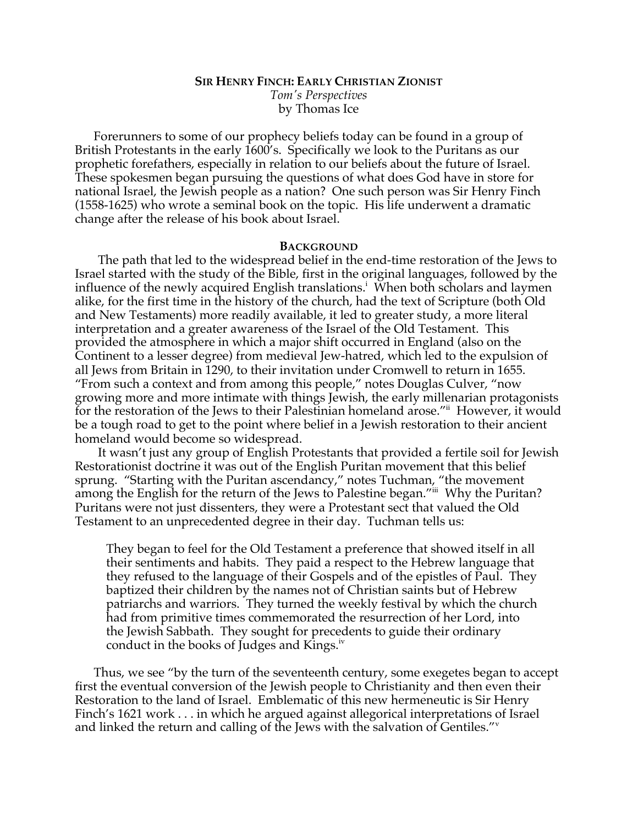# **SIR HENRY FINCH: EARLY CHRISTIAN ZIONIST** *Tom's Perspectives* by Thomas Ice

Forerunners to some of our prophecy beliefs today can be found in a group of British Protestants in the early 1600's. Specifically we look to the Puritans as our prophetic forefathers, especially in relation to our beliefs about the future of Israel. These spokesmen began pursuing the questions of what does God have in store for national Israel, the Jewish people as a nation? One such person was Sir Henry Finch (1558-1625) who wrote a seminal book on the topic. His life underwent a dramatic change after the release of his book about Israel.

#### **BACKGROUND**

The path that led to the widespread belief in the end-time restoration of the Jews to Israel started with the study of the Bible, first in the original languages, followed by the influence of the newly acquired English translations.<sup>i</sup> When both scholars and laymen alike, for the first time in the history of the church, had the text of Scripture (both Old and New Testaments) more readily available, it led to greater study, a more literal interpretation and a greater awareness of the Israel of the Old Testament. This provided the atmosphere in which a major shift occurred in England (also on the Continent to a lesser degree) from medieval Jew-hatred, which led to the expulsion of all Jews from Britain in 1290, to their invitation under Cromwell to return in 1655. "From such a context and from among this people," notes Douglas Culver, "now growing more and more intimate with things Jewish, the early millenarian protagonists for the restoration of the Jews to their Palestinian homeland arose."<sup>ii</sup> However, it would be a tough road to get to the point where belief in a Jewish restoration to their ancient homeland would become so widespread.

It wasn't just any group of English Protestants that provided a fertile soil for Jewish Restorationist doctrine it was out of the English Puritan movement that this belief sprung. "Starting with the Puritan ascendancy," notes Tuchman, "the movement among the English for the return of the Jews to Palestine began."iii Why the Puritan? Puritans were not just dissenters, they were a Protestant sect that valued the Old Testament to an unprecedented degree in their day. Tuchman tells us:

They began to feel for the Old Testament a preference that showed itself in all their sentiments and habits. They paid a respect to the Hebrew language that they refused to the language of their Gospels and of the epistles of Paul. They baptized their children by the names not of Christian saints but of Hebrew patriarchs and warriors. They turned the weekly festival by which the church had from primitive times commemorated the resurrection of her Lord, into the Jewish Sabbath. They sought for precedents to guide their ordinary conduct in the books of Judges and Kings.<sup>iv</sup>

Thus, we see "by the turn of the seventeenth century, some exegetes began to accept first the eventual conversion of the Jewish people to Christianity and then even their Restoration to the land of Israel. Emblematic of this new hermeneutic is Sir Henry Finch's 1621 work . . . in which he argued against allegorical interpretations of Israel and linked the return and calling of the Jews with the salvation of Gentiles."<sup>v</sup>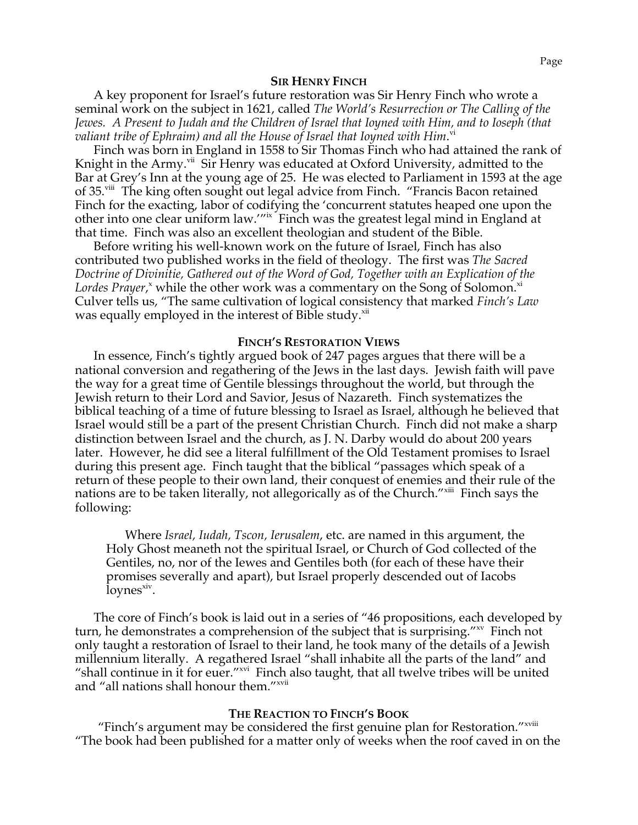A key proponent for Israel's future restoration was Sir Henry Finch who wrote a seminal work on the subject in 1621, called *The World's Resurrection or The Calling of the Jewes. A Present to Judah and the Children of Israel that Ioyned with Him, and to Ioseph (that valiant tribe of Ephraim) and all the House of Israel that Ioyned with Him*. vi

Finch was born in England in 1558 to Sir Thomas Finch who had attained the rank of Knight in the Army.<sup>vii</sup> Sir Henry was educated at Oxford University, admitted to the Bar at Grey's Inn at the young age of 25. He was elected to Parliament in 1593 at the age of 35.viii The king often sought out legal advice from Finch. "Francis Bacon retained Finch for the exacting, labor of codifying the 'concurrent statutes heaped one upon the other into one clear uniform law.'"ix Finch was the greatest legal mind in England at that time. Finch was also an excellent theologian and student of the Bible.

Before writing his well-known work on the future of Israel, Finch has also contributed two published works in the field of theology. The first was *The Sacred Doctrine of Divinitie, Gathered out of the Word of God, Together with an Explication of the*  Lordes Prayer,<sup>x</sup> while the other work was a commentary on the Song of Solomon.<sup>xi</sup> Culver tells us, "The same cultivation of logical consistency that marked *Finch's Law* was equally employed in the interest of Bible study.<sup>xii</sup>

## **FINCH'S RESTORATION VIEWS**

In essence, Finch's tightly argued book of 247 pages argues that there will be a national conversion and regathering of the Jews in the last days. Jewish faith will pave the way for a great time of Gentile blessings throughout the world, but through the Jewish return to their Lord and Savior, Jesus of Nazareth. Finch systematizes the biblical teaching of a time of future blessing to Israel as Israel, although he believed that Israel would still be a part of the present Christian Church. Finch did not make a sharp distinction between Israel and the church, as J. N. Darby would do about 200 years later. However, he did see a literal fulfillment of the Old Testament promises to Israel during this present age. Finch taught that the biblical "passages which speak of a return of these people to their own land, their conquest of enemies and their rule of the nations are to be taken literally, not allegorically as of the Church."<sup>xiii</sup> Finch says the following:

Where *Israel, Iudah, Tscon, Ierusalem*, etc. are named in this argument, the Holy Ghost meaneth not the spiritual Israel, or Church of God collected of the Gentiles, no, nor of the Iewes and Gentiles both (for each of these have their promises severally and apart), but Israel properly descended out of Iacobs  $\frac{1}{\text{oynes}}$  iv.

The core of Finch's book is laid out in a series of "46 propositions, each developed by turn, he demonstrates a comprehension of the subject that is surprising."xv Finch not only taught a restoration of Israel to their land, he took many of the details of a Jewish millennium literally. A regathered Israel "shall inhabite all the parts of the land" and "shall continue in it for euer."<sup>xvi</sup> Finch also taught, that all twelve tribes will be united and "all nations shall honour them."<sup>xvii</sup>

### **THE REACTION TO FINCH'S BOOK**

"Finch's argument may be considered the first genuine plan for Restoration."<sup>xviii</sup> "The book had been published for a matter only of weeks when the roof caved in on the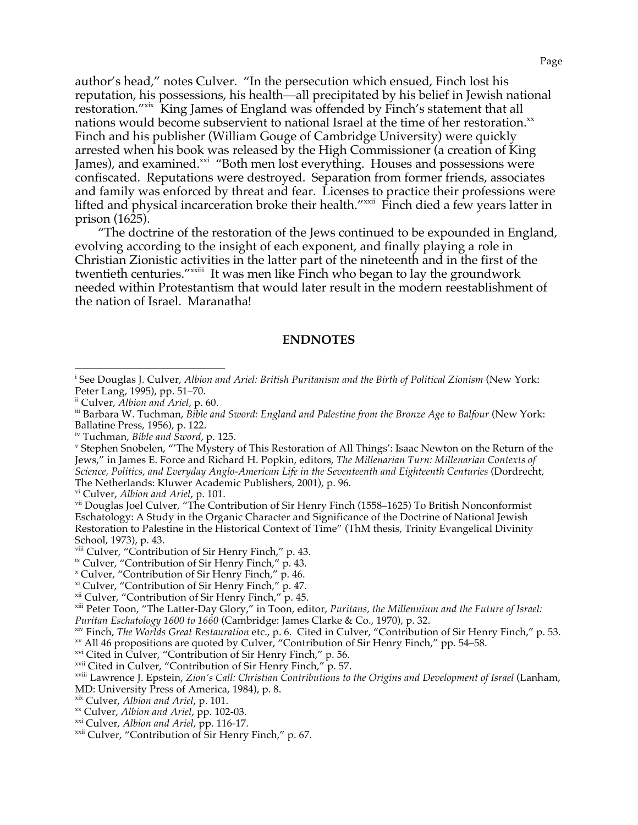author's head," notes Culver. "In the persecution which ensued, Finch lost his reputation, his possessions, his health—all precipitated by his belief in Jewish national restoration."<sup>xix</sup> King James of England was offended by Finch's statement that all nations would become subservient to national Israel at the time of her restoration. $x^2$ Finch and his publisher (William Gouge of Cambridge University) were quickly arrested when his book was released by the High Commissioner (a creation of King James), and examined.<sup>xxi</sup> "Both men lost everything. Houses and possessions were confiscated. Reputations were destroyed. Separation from former friends, associates and family was enforced by threat and fear. Licenses to practice their professions were lifted and physical incarceration broke their health."<sup>xxii</sup> Finch died a few years latter in prison (1625).

"The doctrine of the restoration of the Jews continued to be expounded in England, evolving according to the insight of each exponent, and finally playing a role in Christian Zionistic activities in the latter part of the nineteenth and in the first of the twentieth centuries."<sup>xxiii</sup> It was men like Finch who began to lay the groundwork needed within Protestantism that would later result in the modern reestablishment of the nation of Israel. Maranatha!

### **ENDNOTES**

<sup>&</sup>lt;sup>i</sup> See Douglas J. Culver, *Albion and Ariel: British Puritanism and the Birth of Political Zionism* (New York: Peter Lang, 1995), pp. 51–70.

<sup>&</sup>lt;sup>ii</sup> Culver, *Albion and Ariel*, p. 60.<br>iii Barbara W. Tuchman, *Bible and Sword: England and Palestine from the Bronze Age to Balfour (New York:* Ballatine Press, 1956), p. 122.<br>iv Tuchman, *Bible and Sword*, p. 125.

<sup>&</sup>lt;sup>v</sup> Stephen Snobelen, "'The Mystery of This Restoration of All Things': Isaac Newton on the Return of the Jews," in James E. Force and Richard H. Popkin, editors, *The Millenarian Turn: Millenarian Contexts of Science, Politics, and Everyday Anglo-American Life in the Seventeenth and Eighteenth Centuries* (Dordrecht, The Netherlands: Kluwer Academic Publishers, 2001), p. 96.<br><sup>vi</sup> Culver, Albion and Ariel, p. 101.

<sup>&</sup>lt;sup>vii</sup> Douglas Joel Culver, "The Contribution of Sir Henry Finch (1558–1625) To British Nonconformist Eschatology: A Study in the Organic Character and Significance of the Doctrine of National Jewish Restoration to Palestine in the Historical Context of Time" (ThM thesis, Trinity Evangelical Divinity School, 1973), p. 43.<br><sup>viii</sup> Culver, "Contribution of Sir Henry Finch," p. 43.

<sup>&</sup>lt;sup>ix</sup> Culver, "Contribution of Sir Henry Finch," p. 43.<br>"Culver, "Contribution of Sir Henry Finch," p. 46.<br>"Culver, "Contribution of Sir Henry Finch," p. 47.

xi Culver, "Contribution of Sir Henry Finch," p. 47. xii Culver, "Contribution of Sir Henry Finch," p. 45. xiii Peter Toon, "The Latter-Day Glory," in Toon, editor, *Puritans, the Millennium and the Future of Israel:* 

Puritan Eschatology 1600 to 1660 (Cambridge: James Clarke & Co., 1970), p. 32.<br><sup>xiv</sup> Finch, *The Worlds Great Restauration* etc., p. 6. Cited in Culver, "Contribution of Sir Henry Finch," p. 53.<br><sup>xv</sup> All 46 propositions ar

MD: University Press of America, 1984), p. 8.<br><sup>xix</sup> Culver, *Albion and Ariel*, p. 101.

<sup>&</sup>lt;sup>xx</sup> Culver, *Albion and Ariel*, pp. 102-03.<br><sup>xxi</sup> Culver, *Albion and Ariel*, pp. 116-17.<br><sup>xxii</sup> Culver, "Contribution of Sir Henry Finch," p. 67.